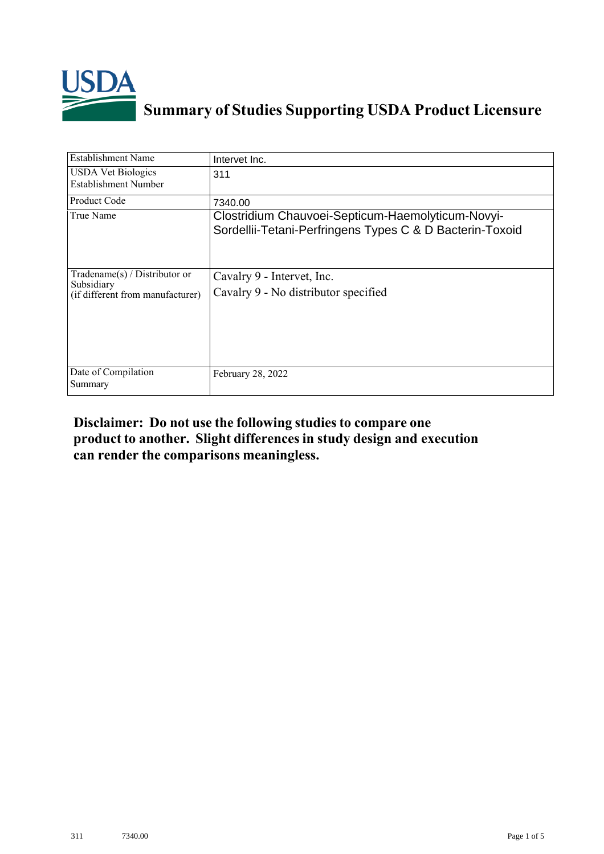

## **Summary of Studies Supporting USDA Product Licensure**

| <b>Establishment Name</b>                                                         | Intervet Inc.                                                                                                 |
|-----------------------------------------------------------------------------------|---------------------------------------------------------------------------------------------------------------|
| <b>USDA Vet Biologics</b><br>Establishment Number                                 | 311                                                                                                           |
| <b>Product Code</b>                                                               | 7340.00                                                                                                       |
| True Name                                                                         | Clostridium Chauvoei-Septicum-Haemolyticum-Novyi-<br>Sordellii-Tetani-Perfringens Types C & D Bacterin-Toxoid |
| $Tradename(s) / Distributor$ or<br>Subsidiary<br>(if different from manufacturer) | Cavalry 9 - Intervet, Inc.<br>Cavalry 9 - No distributor specified                                            |
| Date of Compilation<br>Summary                                                    | February 28, 2022                                                                                             |

## **Disclaimer: Do not use the following studiesto compare one product to another. Slight differencesin study design and execution can render the comparisons meaningless.**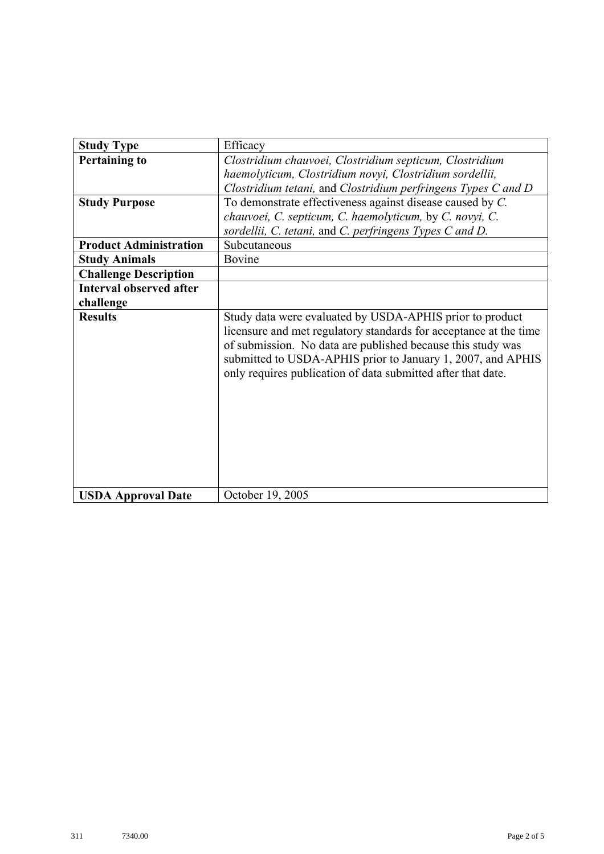| <b>Study Type</b>              | Efficacy                                                                                                                                                                                                                                                                                                                    |
|--------------------------------|-----------------------------------------------------------------------------------------------------------------------------------------------------------------------------------------------------------------------------------------------------------------------------------------------------------------------------|
| <b>Pertaining to</b>           | Clostridium chauvoei, Clostridium septicum, Clostridium                                                                                                                                                                                                                                                                     |
|                                | haemolyticum, Clostridium novyi, Clostridium sordellii,                                                                                                                                                                                                                                                                     |
|                                | Clostridium tetani, and Clostridium perfringens Types C and D                                                                                                                                                                                                                                                               |
| <b>Study Purpose</b>           | To demonstrate effectiveness against disease caused by C.                                                                                                                                                                                                                                                                   |
|                                | chauvoei, C. septicum, C. haemolyticum, by C. novyi, C.                                                                                                                                                                                                                                                                     |
|                                | sordellii, C. tetani, and C. perfringens Types C and D.                                                                                                                                                                                                                                                                     |
| <b>Product Administration</b>  | Subcutaneous                                                                                                                                                                                                                                                                                                                |
| <b>Study Animals</b>           | Bovine                                                                                                                                                                                                                                                                                                                      |
| <b>Challenge Description</b>   |                                                                                                                                                                                                                                                                                                                             |
| <b>Interval observed after</b> |                                                                                                                                                                                                                                                                                                                             |
| challenge                      |                                                                                                                                                                                                                                                                                                                             |
| <b>Results</b>                 | Study data were evaluated by USDA-APHIS prior to product<br>licensure and met regulatory standards for acceptance at the time<br>of submission. No data are published because this study was<br>submitted to USDA-APHIS prior to January 1, 2007, and APHIS<br>only requires publication of data submitted after that date. |
| <b>USDA Approval Date</b>      | October 19, 2005                                                                                                                                                                                                                                                                                                            |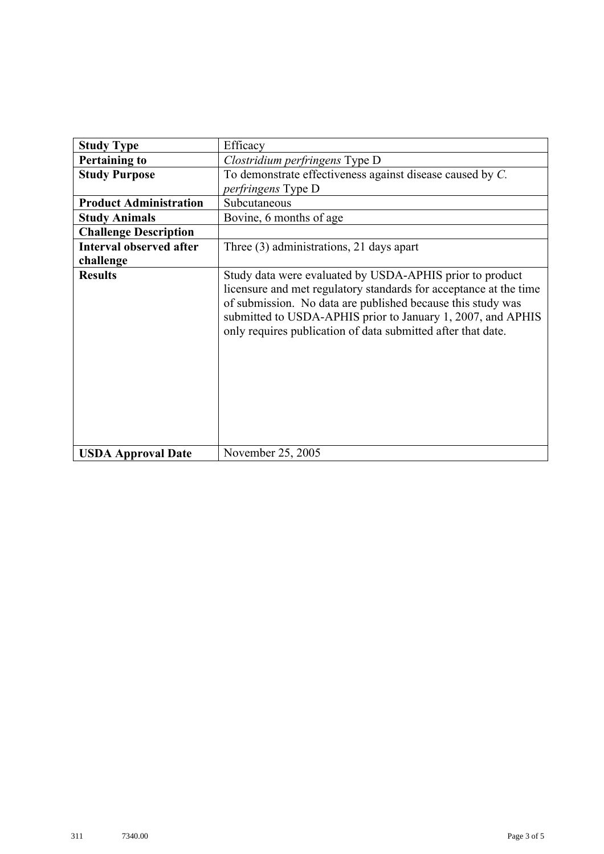| <b>Study Type</b>              | Efficacy                                                                                                                                                                                                                                                                                                                    |
|--------------------------------|-----------------------------------------------------------------------------------------------------------------------------------------------------------------------------------------------------------------------------------------------------------------------------------------------------------------------------|
| <b>Pertaining to</b>           | Clostridium perfringens Type D                                                                                                                                                                                                                                                                                              |
| <b>Study Purpose</b>           | To demonstrate effectiveness against disease caused by C.                                                                                                                                                                                                                                                                   |
|                                | <i>perfringens</i> Type D                                                                                                                                                                                                                                                                                                   |
| <b>Product Administration</b>  | Subcutaneous                                                                                                                                                                                                                                                                                                                |
| <b>Study Animals</b>           | Bovine, 6 months of age                                                                                                                                                                                                                                                                                                     |
| <b>Challenge Description</b>   |                                                                                                                                                                                                                                                                                                                             |
| <b>Interval observed after</b> | Three (3) administrations, 21 days apart                                                                                                                                                                                                                                                                                    |
| challenge                      |                                                                                                                                                                                                                                                                                                                             |
| <b>Results</b>                 | Study data were evaluated by USDA-APHIS prior to product<br>licensure and met regulatory standards for acceptance at the time<br>of submission. No data are published because this study was<br>submitted to USDA-APHIS prior to January 1, 2007, and APHIS<br>only requires publication of data submitted after that date. |
| <b>USDA Approval Date</b>      | November 25, 2005                                                                                                                                                                                                                                                                                                           |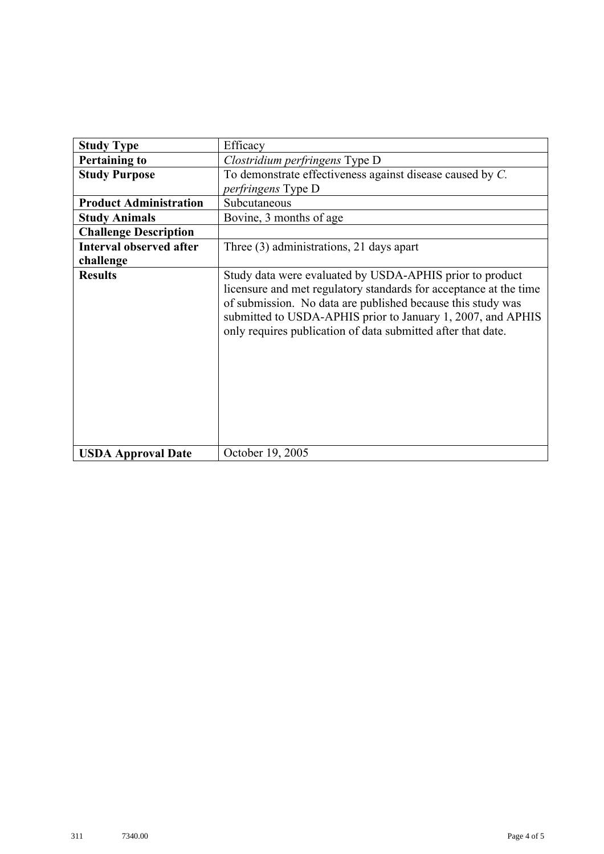| <b>Study Type</b>              | Efficacy                                                                                                                                                                                                                                                                                                                    |
|--------------------------------|-----------------------------------------------------------------------------------------------------------------------------------------------------------------------------------------------------------------------------------------------------------------------------------------------------------------------------|
| <b>Pertaining to</b>           | Clostridium perfringens Type D                                                                                                                                                                                                                                                                                              |
| <b>Study Purpose</b>           | To demonstrate effectiveness against disease caused by C.                                                                                                                                                                                                                                                                   |
|                                | <i>perfringens</i> Type D                                                                                                                                                                                                                                                                                                   |
| <b>Product Administration</b>  | Subcutaneous                                                                                                                                                                                                                                                                                                                |
| <b>Study Animals</b>           | Bovine, 3 months of age                                                                                                                                                                                                                                                                                                     |
| <b>Challenge Description</b>   |                                                                                                                                                                                                                                                                                                                             |
| <b>Interval observed after</b> | Three (3) administrations, 21 days apart                                                                                                                                                                                                                                                                                    |
| challenge                      |                                                                                                                                                                                                                                                                                                                             |
| <b>Results</b>                 | Study data were evaluated by USDA-APHIS prior to product<br>licensure and met regulatory standards for acceptance at the time<br>of submission. No data are published because this study was<br>submitted to USDA-APHIS prior to January 1, 2007, and APHIS<br>only requires publication of data submitted after that date. |
| <b>USDA Approval Date</b>      | October 19, 2005                                                                                                                                                                                                                                                                                                            |